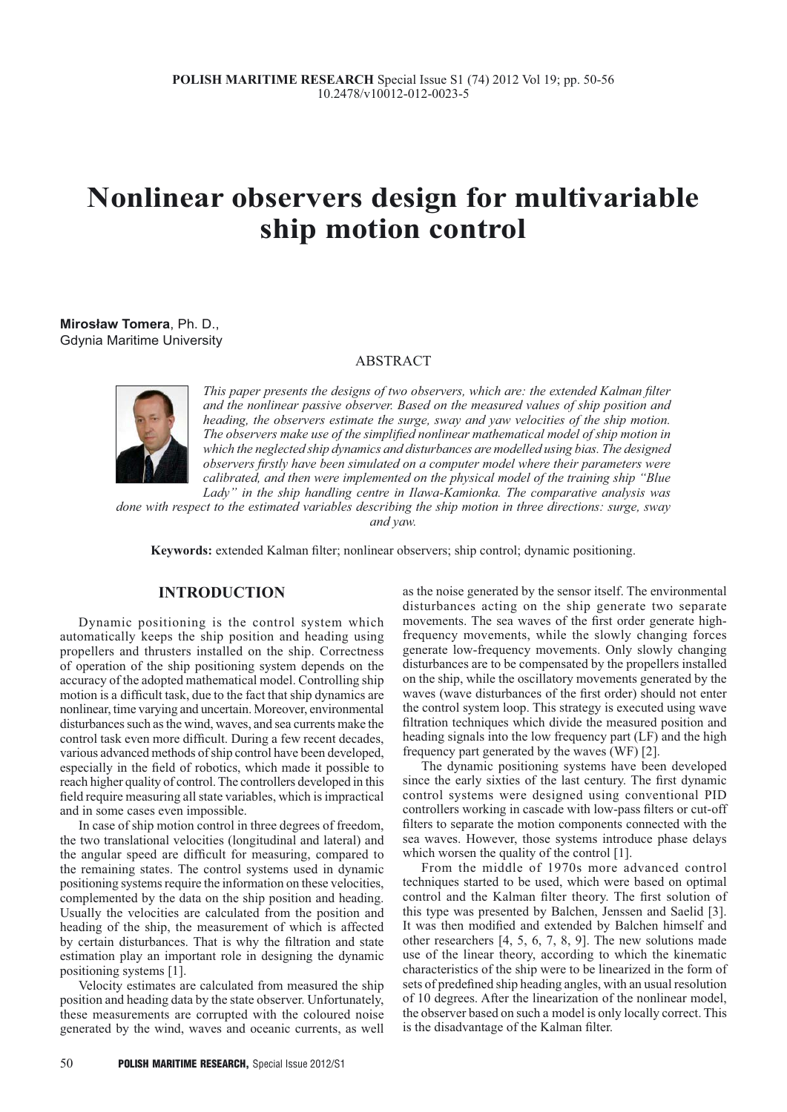# **Nonlinear observers design for multivariable ship motion control**

**Mirosław Tomera**, Ph. D., Gdynia Maritime University

## ABSTRACT



*This paper presents the designs of two observers, which are: the extended Kalman filter and the nonlinear passive observer. Based on the measured values of ship position and heading, the observers estimate the surge, sway and yaw velocities of the ship motion. The observers make use of the simplified nonlinear mathematical model of ship motion in which the neglected ship dynamics and disturbances are modelled using bias. The designed observers firstly have been simulated on a computer model where their parameters were calibrated, and then were implemented on the physical model of the training ship "Blue Lady" in the ship handling centre in Ilawa-Kamionka. The comparative analysis was* 

*done with respect to the estimated variables describing the ship motion in three directions: surge, sway and yaw.*

**Keywords:** extended Kalman filter; nonlinear observers; ship control; dynamic positioning.

## **INTRODUCTION**

Dynamic positioning is the control system which automatically keeps the ship position and heading using propellers and thrusters installed on the ship. Correctness of operation of the ship positioning system depends on the accuracy of the adopted mathematical model. Controlling ship motion is a difficult task, due to the fact that ship dynamics are nonlinear, time varying and uncertain. Moreover, environmental disturbances such as the wind, waves, and sea currents make the control task even more difficult. During a few recent decades, various advanced methods of ship control have been developed, especially in the field of robotics, which made it possible to reach higher quality of control. The controllers developed in this field require measuring all state variables, which is impractical and in some cases even impossible.

In case of ship motion control in three degrees of freedom, the two translational velocities (longitudinal and lateral) and the angular speed are difficult for measuring, compared to the remaining states. The control systems used in dynamic positioning systems require the information on these velocities, complemented by the data on the ship position and heading. Usually the velocities are calculated from the position and heading of the ship, the measurement of which is affected by certain disturbances. That is why the filtration and state estimation play an important role in designing the dynamic positioning systems [1].

Velocity estimates are calculated from measured the ship position and heading data by the state observer. Unfortunately, these measurements are corrupted with the coloured noise generated by the wind, waves and oceanic currents, as well as the noise generated by the sensor itself. The environmental disturbances acting on the ship generate two separate movements. The sea waves of the first order generate highfrequency movements, while the slowly changing forces generate low-frequency movements. Only slowly changing disturbances are to be compensated by the propellers installed on the ship, while the oscillatory movements generated by the waves (wave disturbances of the first order) should not enter the control system loop. This strategy is executed using wave filtration techniques which divide the measured position and heading signals into the low frequency part (LF) and the high frequency part generated by the waves (WF) [2].

The dynamic positioning systems have been developed since the early sixties of the last century. The first dynamic control systems were designed using conventional PID controllers working in cascade with low-pass filters or cut-off filters to separate the motion components connected with the sea waves. However, those systems introduce phase delays which worsen the quality of the control [1].

From the middle of 1970s more advanced control techniques started to be used, which were based on optimal control and the Kalman filter theory. The first solution of this type was presented by Balchen, Jenssen and Saelid [3]. It was then modified and extended by Balchen himself and other researchers [4, 5, 6, 7, 8, 9]. The new solutions made use of the linear theory, according to which the kinematic characteristics of the ship were to be linearized in the form of sets of predefined ship heading angles, with an usual resolution of 10 degrees. After the linearization of the nonlinear model, the observer based on such a model is only locally correct. This is the disadvantage of the Kalman filter.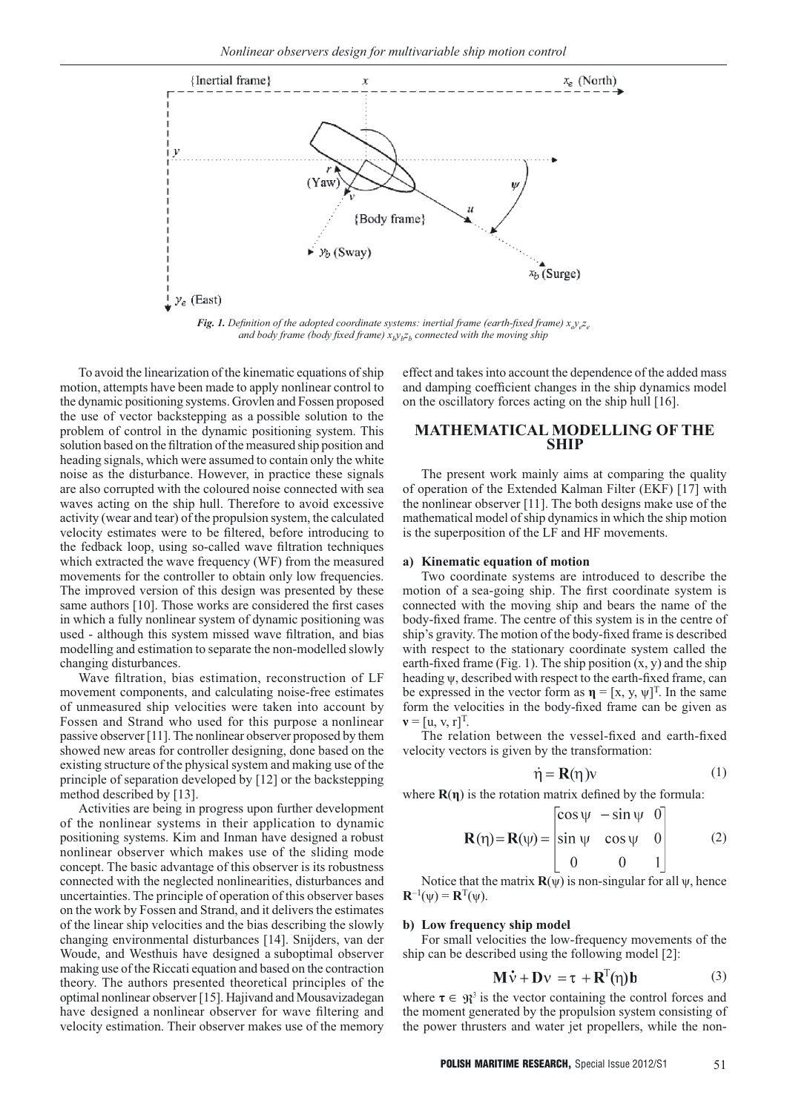

*Fig. 1. Definition of the adopted coordinate systems: inertial frame (earth-fixed frame)* $x_i y_i z_j$ *and body frame (body fixed frame)*  $x_b y_b z_b$  connected with the moving ship

To avoid the linearization of the kinematic equations of ship motion, attempts have been made to apply nonlinear control to the dynamic positioning systems. Grovlen and Fossen proposed the use of vector backstepping as a possible solution to the problem of control in the dynamic positioning system. This solution based on the filtration of the measured ship position and heading signals, which were assumed to contain only the white noise as the disturbance. However, in practice these signals are also corrupted with the coloured noise connected with sea waves acting on the ship hull. Therefore to avoid excessive activity (wear and tear) of the propulsion system, the calculated velocity estimates were to be filtered, before introducing to the fedback loop, using so-called wave filtration techniques which extracted the wave frequency (WF) from the measured movements for the controller to obtain only low frequencies. The improved version of this design was presented by these same authors [10]. Those works are considered the first cases in which a fully nonlinear system of dynamic positioning was used - although this system missed wave filtration, and bias modelling and estimation to separate the non-modelled slowly changing disturbances.

Wave filtration, bias estimation, reconstruction of LF movement components, and calculating noise-free estimates of unmeasured ship velocities were taken into account by Fossen and Strand who used for this purpose a nonlinear passive observer [11]. The nonlinear observer proposed by them showed new areas for controller designing, done based on the existing structure of the physical system and making use of the principle of separation developed by [12] or the backstepping method described by [13].

Activities are being in progress upon further development of the nonlinear systems in their application to dynamic positioning systems. Kim and Inman have designed a robust nonlinear observer which makes use of the sliding mode concept. The basic advantage of this observer is its robustness connected with the neglected nonlinearities, disturbances and uncertainties. The principle of operation of this observer bases on the work by Fossen and Strand, and it delivers the estimates of the linear ship velocities and the bias describing the slowly changing environmental disturbances [14]. Snijders, van der Woude, and Westhuis have designed a suboptimal observer making use of the Riccati equation and based on the contraction theory. The authors presented theoretical principles of the optimal nonlinear observer [15]. Hajivand and Mousavizadegan have designed a nonlinear observer for wave filtering and velocity estimation. Their observer makes use of the memory

effect and takes into account the dependence of the added mass and damping coefficient changes in the ship dynamics model on the oscillatory forces acting on the ship hull [16].

## **MATHEMATICAL MODELLING OF THE SHIP**

The present work mainly aims at comparing the quality of operation of the Extended Kalman Filter (EKF) [17] with the nonlinear observer [11]. The both designs make use of the mathematical model of ship dynamics in which the ship motion is the superposition of the LF and HF movements.

#### **a) Kinematic equation of motion**

Two coordinate systems are introduced to describe the motion of a sea-going ship. The first coordinate system is connected with the moving ship and bears the name of the body-fixed frame. The centre of this system is in the centre of ship's gravity. The motion of the body-fixed frame is described with respect to the stationary coordinate system called the earth-fixed frame (Fig. 1). The ship position  $(x, y)$  and the ship heading ψ, described with respect to the earth-fixed frame, can be expressed in the vector form as  $\mathbf{\eta} = [x, y, \psi]^T$ . In the same form the velocities in the body-fixed frame can be given as  ${\bf v} = [u, v, r]^T$ .

The relation between the vessel-fixed and earth-fixed velocity vectors is given by the transformation:

$$
\dot{\eta} = \mathbf{R}(\eta)\mathbf{v} \tag{1}
$$

where  $\mathbf{R}(\eta)$  is the rotation matrix defined by the formula:

$$
\mathbf{R}(\eta) = \mathbf{R}(\psi) = \begin{bmatrix} \cos \psi & -\sin \psi & 0 \\ \sin \psi & \cos \psi & 0 \\ 0 & 0 & 1 \end{bmatrix}
$$
 (2)

Notice that the matrix  $\mathbf{R}(\psi)$  is non-singular for all  $\psi$ , hence  ${\bf R}^{-1}(\psi) = {\bf R}^{T}(\psi)$ .

#### **b) Low frequency ship model**

For small velocities the low-frequency movements of the ship can be described using the following model [2]:

$$
\mathbf{M}\dot{\mathbf{v}} + \mathbf{D}\mathbf{v} = \mathbf{\tau} + \mathbf{R}^{\mathrm{T}}(\mathbf{\eta})\mathbf{b}
$$
 (3)

where  $\tau \in \mathfrak{R}^3$  is the vector containing the control forces and the moment generated by the propulsion system consisting of the power thrusters and water jet propellers, while the non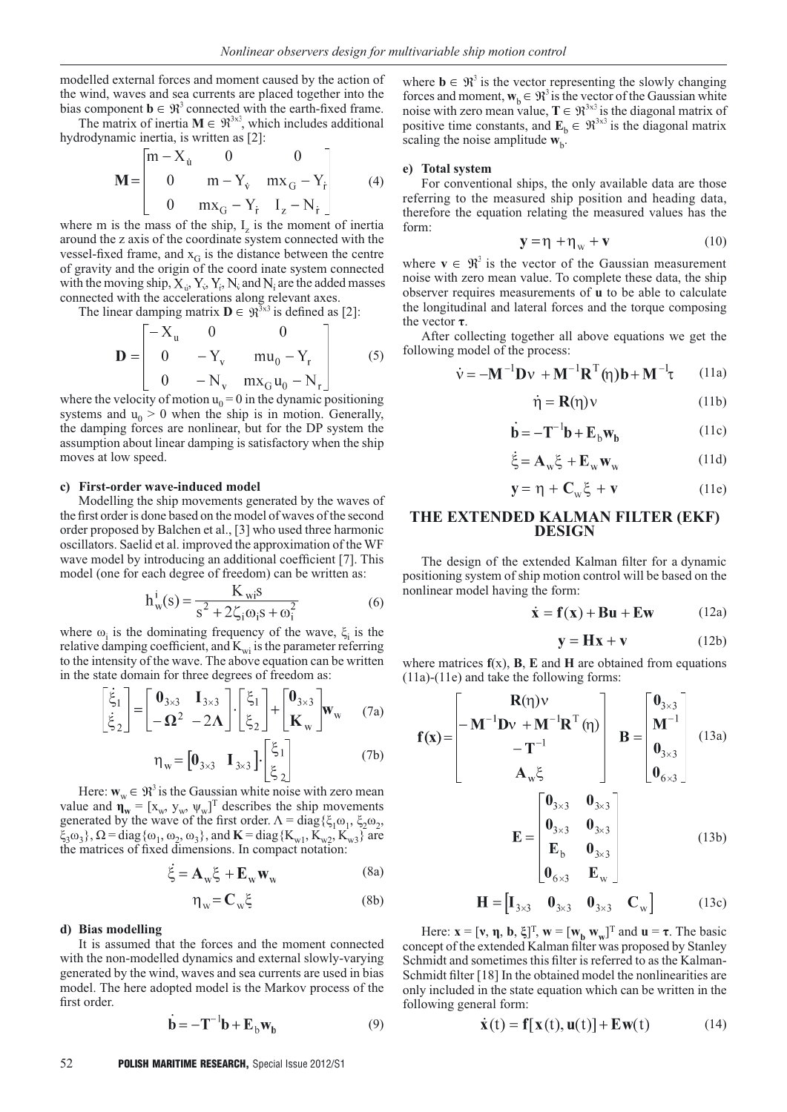modelled external forces and moment caused by the action of the wind, waves and sea currents are placed together into the bias component  $\mathbf{b} \in \mathbb{R}^3$  connected with the earth-fixed frame.

The matrix of inertia  $M \in \mathbb{R}^{3 \times 3}$ , which includes additional hydrodynamic inertia, is written as [2]:

$$
\mathbf{M} = \begin{bmatrix} m - X_{\hat{u}} & 0 & 0 \\ 0 & m - Y_{\hat{v}} & mx_G - Y_{\hat{r}} \\ 0 & mx_G - Y_{\hat{r}} & I_z - N_{\hat{r}} \end{bmatrix}
$$
 (4)

where m is the mass of the ship,  $I<sub>z</sub>$  is the moment of inertia around the z axis of the coordinate system connected with the vessel-fixed frame, and  $x_G$  is the distance between the centre of gravity and the origin of the coord inate system connected with the moving ship,  $X_{i}$ ,  $Y_{i}$ ,  $Y_{i}$ ,  $Y_{i}$ , and  $N_{i}$  are the added masses connected with the accelerations along relevant axes.

The linear damping matrix  $\mathbf{D} \in \mathbb{R}^{3 \times 3}$  is defined as [2]:

$$
\mathbf{D} = \begin{bmatrix} -X_{u} & 0 & 0 \\ 0 & -Y_{v} & mu_{0} - Y_{r} \\ 0 & -N_{v} & mx_{G}u_{0} - N_{r} \end{bmatrix}
$$
 (5)

where the velocity of motion  $u_0 = 0$  in the dynamic positioning systems and  $u_0 > 0$  when the ship is in motion. Generally, the damping forces are nonlinear, but for the DP system the assumption about linear damping is satisfactory when the ship moves at low speed.

#### **c) First-order wave-induced model**

Modelling the ship movements generated by the waves of the first order is done based on the model of waves of the second order proposed by Balchen et al., [3] who used three harmonic oscillators. Saelid et al. improved the approximation of the WF wave model by introducing an additional coefficient [7]. This model (one for each degree of freedom) can be written as:

$$
h_w^i(s) = \frac{K_{wi}s}{s^2 + 2\zeta_i \omega_i s + \omega_i^2}
$$
 (6)

where  $\omega_i$  is the dominating frequency of the wave,  $\xi_i$  is the relative damping coefficient, and  $K_{wi}$  is the parameter referring to the intensity of the wave. The above equation can be written in the state domain for three degrees of freedom as:

$$
\begin{bmatrix} \dot{\xi}_1 \\ \dot{\xi}_2 \end{bmatrix} = \begin{bmatrix} \mathbf{0}_{3\times3} & \mathbf{I}_{3\times3} \\ -\mathbf{\Omega}^2 & -2\mathbf{\Lambda} \end{bmatrix} \cdot \begin{bmatrix} \xi_1 \\ \xi_2 \end{bmatrix} + \begin{bmatrix} \mathbf{0}_{3\times3} \\ \mathbf{K}_{\mathbf{w}} \end{bmatrix} \mathbf{w}_{\mathbf{w}} \tag{7a}
$$

$$
\eta_{w} = \begin{bmatrix} \mathbf{0}_{3 \times 3} & \mathbf{I}_{3 \times 3} \end{bmatrix} \cdot \begin{bmatrix} \xi_{1} \\ \xi_{2} \end{bmatrix} \tag{7b}
$$

Here:  $\mathbf{w}_w \in \mathbb{R}^3$  is the Gaussian white noise with zero mean value and  $\mathbf{\eta_w} = [\mathbf{x_w}, \mathbf{y_w}, \mathbf{\psi_w}]^T$  describes the ship movements generated by the wave of the first order.  $Λ = diag{ξ<sub>1</sub>ω<sub>1</sub>, ξ<sub>2</sub>ω<sub>2</sub>},$  $\xi_3\omega_3$ ,  $\Omega$  = diag{ $\omega_1$ ,  $\omega_2$ ,  $\omega_3$ }, and **K** = diag{K<sub>w1</sub>, K<sub>w2</sub>, K<sub>w3</sub>} are the matrices of fixed dimensions. In compact notation:

$$
\ddot{\xi} = \mathbf{A}_{\mathrm{w}} \xi + \mathbf{E}_{\mathrm{w}} \mathbf{W}_{\mathrm{w}} \tag{8a}
$$

$$
\eta_w = C_w \xi \tag{8b}
$$

#### **d) Bias modelling**

It is assumed that the forces and the moment connected with the non-modelled dynamics and external slowly-varying generated by the wind, waves and sea currents are used in bias model. The here adopted model is the Markov process of the first order.

$$
\mathbf{b} = -\mathbf{T}^{-1}\mathbf{b} + \mathbf{E}_{b}\mathbf{w}_{b}
$$
 (9)

where  $\mathbf{b} \in \mathbb{R}^3$  is the vector representing the slowly changing forces and moment,  $\mathbf{w}_b \in \mathbb{R}^3$  is the vector of the Gaussian white noise with zero mean value,  $T \in \mathbb{R}^{3 \times 3}$  is the diagonal matrix of positive time constants, and  $\mathbf{E}_b \in \mathbb{R}^{3 \times 3}$  is the diagonal matrix scaling the noise amplitude  $w_{b}$ .

#### **e) Total system**

For conventional ships, the only available data are those referring to the measured ship position and heading data, therefore the equation relating the measured values has the form:

$$
\mathbf{y} = \eta + \eta_w + \mathbf{v} \tag{10}
$$

where  $\mathbf{v} \in \mathbb{R}^3$  is the vector of the Gaussian measurement noise with zero mean value. To complete these data, the ship observer requires measurements of **u** to be able to calculate the longitudinal and lateral forces and the torque composing the vector **τ**.

After collecting together all above equations we get the following model of the process:

$$
\dot{\mathbf{v}} = -\mathbf{M}^{-1}\mathbf{D}\mathbf{v} + \mathbf{M}^{-1}\mathbf{R}^{\mathrm{T}}(\mathbf{\eta})\mathbf{b} + \mathbf{M}^{-1}\mathbf{\tau}
$$
 (11a)

$$
\dot{\eta} = \mathbf{R}(\eta)v \tag{11b}
$$

$$
\dot{\mathbf{b}} = -\mathbf{T}^{-1}\mathbf{b} + \mathbf{E}_b \mathbf{w}_b \tag{11c}
$$

$$
\xi = \mathbf{A}_w \xi + \mathbf{E}_w \mathbf{w}_w \tag{11d}
$$

$$
y = \eta + C_w \xi + v \tag{11e}
$$

## **THE EXTENDED KALMAN FILTER (EKF) DESIGN**

The design of the extended Kalman filter for a dynamic positioning system of ship motion control will be based on the nonlinear model having the form:

$$
\dot{\mathbf{x}} = \mathbf{f}(\mathbf{x}) + \mathbf{B}\mathbf{u} + \mathbf{E}\mathbf{w} \tag{12a}
$$

$$
y = Hx + v \tag{12b}
$$

where matrices  $f(x)$ ,  $B$ ,  $E$  and  $H$  are obtained from equations (11a)-(11e) and take the following forms:

$$
\mathbf{f}(\mathbf{x}) = \begin{bmatrix} \mathbf{R}(\eta)\mathbf{v} \\ -\mathbf{M}^{-1}\mathbf{D}\mathbf{v} + \mathbf{M}^{-1}\mathbf{R}^{\mathrm{T}}(\eta) \\ -\mathbf{T}^{-1} \\ \mathbf{A}_{\mathbf{w}}\boldsymbol{\xi} \end{bmatrix} \quad \mathbf{B} = \begin{bmatrix} \mathbf{0}_{3\times3} \\ \mathbf{M}^{-1} \\ \mathbf{0}_{3\times3} \\ \mathbf{0}_{6\times3} \end{bmatrix} \quad (13a)
$$

$$
\mathbf{E} = \begin{bmatrix} \mathbf{0}_{3\times3} & \mathbf{0}_{3\times3} \\ \mathbf{0}_{3\times3} & \mathbf{0}_{3\times3} \\ \mathbf{E}_{\mathbf{b}} & \mathbf{0}_{3\times3} \\ \mathbf{E}_{\mathbf{b}} & \mathbf{0}_{3\times3} \\ \mathbf{0}_{6\times3} & \mathbf{E}_{\mathbf{w}} \end{bmatrix} \quad (13b)
$$

$$
\mathbf{H} = \begin{bmatrix} \mathbf{I}_{3\times 3} & \mathbf{0}_{3\times 3} & \mathbf{0}_{3\times 3} & \mathbf{C}_{\mathbf{w}} \end{bmatrix}
$$
 (13c)

Here:  $\mathbf{x} = [\mathbf{v}, \mathbf{\eta}, \mathbf{b}, \xi]^T$ ,  $\mathbf{w} = [\mathbf{w}_b \mathbf{w}_w]^T$  and  $\mathbf{u} = \tau$ . The basic concept of the extended Kalman filter was proposed by Stanley Schmidt and sometimes this filter is referred to as the Kalman-Schmidt filter [18] In the obtained model the nonlinearities are only included in the state equation which can be written in the following general form:

$$
\dot{\mathbf{x}}(t) = \mathbf{f}[\mathbf{x}(t), \mathbf{u}(t)] + \mathbf{E}\mathbf{w}(t) \tag{14}
$$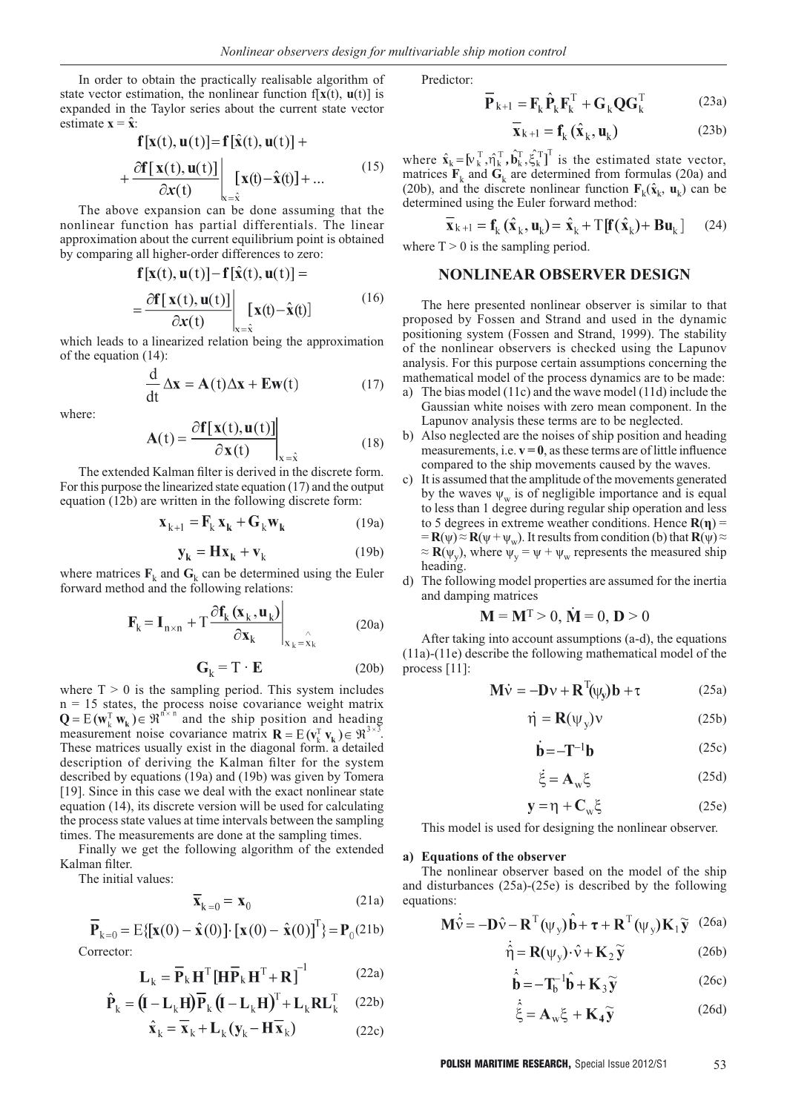In order to obtain the practically realisable algorithm of state vector estimation, the nonlinear function  $f[x(t), u(t)]$  is expanded in the Taylor series about the current state vector estimate  $\mathbf{x} = \hat{\mathbf{x}}$ :

$$
\mathbf{f}[\mathbf{x}(t), \mathbf{u}(t)] = \mathbf{f}[\mathbf{x}(t), \mathbf{u}(t)] +
$$
  
+ 
$$
\frac{\partial \mathbf{f}[\mathbf{x}(t), \mathbf{u}(t)]}{\partial \mathbf{x}(t)} \Big|_{\mathbf{x} = \hat{\mathbf{x}}} [\mathbf{x}(t) - \hat{\mathbf{x}}(t)] + ...
$$
 (15)

The above expansion can be done assuming that the nonlinear function has partial differentials. The linear approximation about the current equilibrium point is obtained by comparing all higher-order differences to zero:<br> $\mathbf{F}[\mathbf{z}(t), \mathbf{z}(t)] = \mathbf{F}[\hat{\mathbf{z}}(t), \mathbf{z}(t)]$ 

$$
\mathbf{I}[\mathbf{X}(t), \mathbf{u}(t)] - \mathbf{I}[\mathbf{X}(t), \mathbf{u}(t)] =
$$
  
= 
$$
\frac{\partial \mathbf{f}[\mathbf{x}(t), \mathbf{u}(t)]}{\partial \mathbf{x}(t)} \Big|_{\mathbf{x} = \hat{\mathbf{x}}} [\mathbf{x}(t) - \hat{\mathbf{x}}(t)] \tag{16}
$$

which leads to a linearized relation being the approximation of the equation (14):

$$
\frac{d}{dt} \Delta x = A(t) \Delta x + E w(t)
$$
 (17)

where:

$$
\mathbf{A}(t) = \frac{\partial \mathbf{f}[\mathbf{x}(t), \mathbf{u}(t)]}{\partial \mathbf{x}(t)}\Big|_{x = \hat{x}}
$$
(18)

The extended Kalman filter is derived in the discrete form. For this purpose the linearized state equation (17) and the output equation (12b) are written in the following discrete form:

$$
\mathbf{x}_{k+1} = \mathbf{F}_k \mathbf{x}_k + \mathbf{G}_k \mathbf{w}_k \tag{19a}
$$

$$
\mathbf{y}_{k} = \mathbf{H}\mathbf{x}_{k} + \mathbf{v}_{k} \tag{19b}
$$

where matrices  $\mathbf{F}_k$  and  $\mathbf{G}_k$  can be determined using the Euler forward method and the following relations:

$$
\mathbf{F}_{k} = \mathbf{I}_{n \times n} + T \frac{\partial \mathbf{f}_{k} (\mathbf{x}_{k}, \mathbf{u}_{k})}{\partial \mathbf{x}_{k}} \bigg|_{\mathbf{x}_{k} = \hat{\mathbf{x}}_{k}}
$$
(20a)

$$
\mathbf{G}_{k} = \mathbf{T} \cdot \mathbf{E} \tag{20b}
$$

where  $T > 0$  is the sampling period. This system includes n = 15 states, the process noise covariance weight matrix and the ship position and heading measurement noise covariance matrix  $\mathbf{R} = E(\mathbf{v}_{k}^{T} \mathbf{v}_{k}) \in \mathbb{R}^{3 \times 3}$ . These matrices usually exist in the diagonal form. a detailed description of deriving the Kalman filter for the system described by equations (19a) and (19b) was given by Tomera [19]. Since in this case we deal with the exact nonlinear state equation (14), its discrete version will be used for calculating the process state values at time intervals between the sampling times. The measurements are done at the sampling times.

Finally we get the following algorithm of the extended Kalman filter.

The initial values:

$$
\overline{\mathbf{x}}_{k=0} = \mathbf{x}_0 \tag{21a}
$$

$$
\overline{\mathbf{P}}_{k=0} = E\{[\mathbf{x}(0) - \hat{\mathbf{x}}(0)] \cdot [\mathbf{x}(0) - \hat{\mathbf{x}}(0)]^{T}\} = \mathbf{P}_{0}(21b)
$$
  
Corrector:

$$
\mathbf{L}_{k} = \overline{\mathbf{P}}_{k} \mathbf{H}^{\mathrm{T}} \left[ \mathbf{H} \overline{\mathbf{P}}_{k} \mathbf{H}^{\mathrm{T}} + \mathbf{R} \right]^{-1} \tag{22a}
$$

$$
\hat{\mathbf{P}}_k = (\mathbf{I} - \mathbf{L}_k \mathbf{H}) \overline{\mathbf{P}}_k (\mathbf{I} - \mathbf{L}_k \mathbf{H})^T + \mathbf{L}_k \mathbf{R} \mathbf{L}_k^T \quad (22b)
$$

$$
\ddot{\mathbf{x}}_k = \mathbf{x}_k + \mathbf{L}_k (\mathbf{y}_k - \mathbf{H} \mathbf{x}_k)
$$
 (22c)

Predictor:

$$
\overline{\mathbf{P}}_{k+1} = \mathbf{F}_k \hat{\mathbf{P}}_k \mathbf{F}_k^{\mathrm{T}} + \mathbf{G}_k \mathbf{Q} \mathbf{G}_k^{\mathrm{T}}
$$
 (23a)

$$
\overline{\mathbf{x}}_{k+1} = \mathbf{f}_k(\hat{\mathbf{x}}_k, \mathbf{u}_k)
$$
 (23b)

where  $\hat{\mathbf{x}}_k = [\mathbf{v}_k^T, \hat{\mathbf{\eta}}_k^T, \hat{\mathbf{b}}_k^T, \hat{\xi}_k^T]^T$  is the estimated state vector, matrices  $\mathbf{F}_k$  and  $\mathbf{G}_k$  are determined from formulas (20a) and (20b), and the discrete nonlinear function  $\mathbf{F}_k(\hat{\mathbf{x}}_k, \mathbf{u}_k)$  can be determined using the Euler forward method:

$$
\overline{\mathbf{x}}_{k+1} = \mathbf{f}_k (\hat{\mathbf{x}}_k, \mathbf{u}_k) = \hat{\mathbf{x}}_k + T[\mathbf{f}(\hat{\mathbf{x}}_k) + \mathbf{B} \mathbf{u}_k] \qquad (24)
$$

where  $T > 0$  is the sampling period.

## **NONLINEAR OBSERVER DESIGN**

The here presented nonlinear observer is similar to that proposed by Fossen and Strand and used in the dynamic positioning system (Fossen and Strand, 1999). The stability of the nonlinear observers is checked using the Lapunov analysis. For this purpose certain assumptions concerning the mathematical model of the process dynamics are to be made:

- a) The bias model (11c) and the wave model (11d) include the Gaussian white noises with zero mean component. In the Lapunov analysis these terms are to be neglected.
- b) Also neglected are the noises of ship position and heading measurements, i.e.  $v = 0$ , as these terms are of little influence compared to the ship movements caused by the waves.
- c) It is assumed that the amplitude of the movements generated by the waves  $\psi_w$  is of negligible importance and is equal to less than 1 degree during regular ship operation and less to 5 degrees in extreme weather conditions. Hence **R**(**η**) =  $=$  **R**( $\psi$ )  $\approx$  **R**( $\psi$  +  $\psi$ <sub>w</sub>). It results from condition (b) that **R**( $\psi$ )  $\approx$  $\approx \mathbf{R}(\psi_{v})$ , where  $\psi_{v} = \psi + \psi_{w}$  represents the measured ship heading.
- d) The following model properties are assumed for the inertia and damping matrices

$$
\mathbf{M} = \mathbf{M}^{\mathrm{T}} > 0, \, \dot{\mathbf{M}} = 0, \, \mathbf{D} > 0
$$

After taking into account assumptions (a-d), the equations (11a)-(11e) describe the following mathematical model of the process [11]:

$$
\mathbf{M}\dot{\mathbf{v}} = -\mathbf{D}\mathbf{v} + \mathbf{R}^{\mathrm{T}}(\psi_{\mathbf{v}})\mathbf{b} + \tau \tag{25a}
$$

$$
\dot{\eta} = \mathbf{R}(\psi_{\rm v})\mathbf{v} \tag{25b}
$$

$$
\dot{\mathbf{b}} = -\mathbf{T}^{-1}\mathbf{b} \tag{25c}
$$

$$
\dot{\xi} = \mathbf{A}_w \xi \tag{25d}
$$

$$
y = \eta + C_w \xi \tag{25e}
$$

This model is used for designing the nonlinear observer.

#### **a) Equations of the observer**

The nonlinear observer based on the model of the ship and disturbances (25a)-(25e) is described by the following equations:

$$
\mathbf{M}\dot{\hat{\mathbf{v}}} = -\mathbf{D}\hat{\mathbf{v}} - \mathbf{R}^{\mathrm{T}}(\psi_{\mathbf{y}})\hat{\mathbf{b}} + \boldsymbol{\tau} + \mathbf{R}^{\mathrm{T}}(\psi_{\mathbf{y}})\mathbf{K}_{1}\tilde{\mathbf{y}} \quad (26a)
$$

$$
\hat{\mathbf{\eta}} = \mathbf{R}(\psi_{\mathbf{y}}) \cdot \hat{\mathbf{v}} + \mathbf{K}_2 \widetilde{\mathbf{y}} \tag{26b}
$$

$$
\hat{\dot{\mathbf{b}}} = -\mathbf{T}_{\mathbf{b}}^{-1}\hat{\mathbf{b}} + \mathbf{K}_3 \widetilde{\mathbf{y}} \tag{26c}
$$

$$
\dot{\hat{\xi}} = \mathbf{A}_w \xi + \mathbf{K}_4 \widetilde{\mathbf{y}} \tag{26d}
$$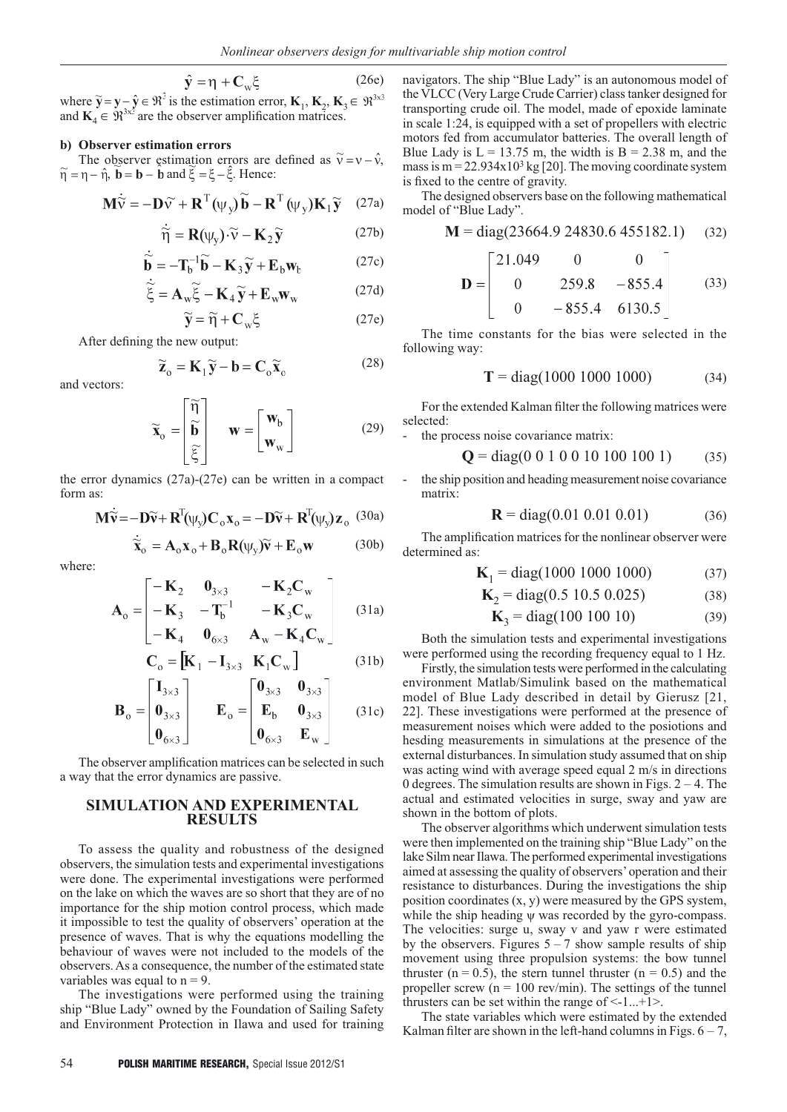$$
\hat{\mathbf{y}} = \mathbf{\eta} + \mathbf{C}_{\mathbf{w}} \xi \tag{26e}
$$

where  $\widetilde{y} = y - \hat{y} \in \mathbb{R}^3$  is the estimation error,  $\mathbf{K}_1, \mathbf{K}_2, \mathbf{K}_3 \in \mathbb{R}^3$ and  $\mathbf{K}_4 \in \mathbb{R}^{3 \times 3}$  are the observer amplification matrices.

#### **b) Observer estimation errors**

The observer estimation errors are defined as  $\tilde{v} = v - \hat{v}$ ,  $\widetilde{\eta} = \eta - \hat{\eta}$ ,  $\mathbf{b} = \mathbf{b} - \mathbf{b}$  and  $\xi = \xi - \hat{\xi}$ . Hence:

$$
\mathbf{M}\dot{\widetilde{\mathbf{v}}} = -\mathbf{D}\widetilde{\mathbf{v}} + \mathbf{R}^{\mathrm{T}}(\psi_{\mathbf{y}})\widetilde{\mathbf{b}} - \mathbf{R}^{\mathrm{T}}(\psi_{\mathbf{y}})\mathbf{K}_{1}\widetilde{\mathbf{y}} \quad (27a)
$$

$$
\dot{\widetilde{\eta}} = \mathbf{R}(\psi_y) \cdot \widetilde{v} - \mathbf{K}_2 \widetilde{\mathbf{y}} \tag{27b}
$$

$$
\widetilde{\mathbf{b}} = -\mathbf{T}_b^{-1}\widetilde{\mathbf{b}} - \mathbf{K}_3 \widetilde{\mathbf{y}} + \mathbf{E}_b \mathbf{w}_b \tag{27c}
$$

$$
\widetilde{\xi} = \mathbf{A}_{\mathrm{w}} \widetilde{\xi} - \mathbf{K}_{4} \widetilde{\mathbf{y}} + \mathbf{E}_{\mathrm{w}} \mathbf{w}_{\mathrm{w}}
$$
 (27d)

$$
\widetilde{\mathbf{y}} = \widetilde{\eta} + \mathbf{C}_{\mathrm{w}} \xi \tag{27e}
$$

After defining the new output:

$$
\widetilde{\mathbf{Z}}_{o} = \mathbf{K}_{1} \widetilde{\mathbf{y}} - \mathbf{b} = \mathbf{C}_{o} \widetilde{\mathbf{x}}_{o}
$$
 (28)

and vectors:

$$
\widetilde{\mathbf{x}}_{o} = \begin{bmatrix} \widetilde{\mathbf{\eta}} \\ \widetilde{\mathbf{b}} \\ \widetilde{\xi} \end{bmatrix} \quad \mathbf{w} = \begin{bmatrix} \mathbf{w}_{b} \\ \mathbf{w}_{w} \end{bmatrix}
$$
 (29)

the error dynamics (27a)-(27e) can be written in a compact form as:

$$
\mathbf{M}\ddot{\mathbf{v}} = -\mathbf{D}\widetilde{\mathbf{v}} + \mathbf{R}^{\mathrm{T}}(\psi_{\mathbf{y}})\mathbf{C}_{\mathrm{o}}\mathbf{x}_{\mathrm{o}} = -\mathbf{D}\widetilde{\mathbf{v}} + \mathbf{R}^{\mathrm{T}}(\psi_{\mathbf{y}})\mathbf{z}_{\mathrm{o}} \tag{30a}
$$

$$
\widetilde{\mathbf{x}}_{o} = \mathbf{A}_{o} \mathbf{x}_{o} + \mathbf{B}_{o} \mathbf{R}(\psi_{y}) \widetilde{\mathbf{v}} + \mathbf{E}_{o} \mathbf{w} \tag{30b}
$$

where:

$$
\mathbf{A}_{o} = \begin{bmatrix} -\mathbf{K}_{2} & \mathbf{0}_{3\times3} & -\mathbf{K}_{2}\mathbf{C}_{w} \\ -\mathbf{K}_{3} & -\mathbf{T}_{b}^{-1} & -\mathbf{K}_{3}\mathbf{C}_{w} \end{bmatrix}
$$
 (31a)

$$
\begin{bmatrix} -\mathbf{R}_4 & \mathbf{U}_{6\times3} & \mathbf{A}_w - \mathbf{R}_4 \mathbf{U}_w \end{bmatrix}
$$

$$
\mathbf{C}_o = \begin{bmatrix} \mathbf{K}_1 - \mathbf{I}_{3\times3} & \mathbf{K}_1 \mathbf{C}_w \end{bmatrix}
$$
(31b)

$$
\mathbf{B}_{o} = \begin{bmatrix} \mathbf{I}_{3\times3} \\ \mathbf{0}_{3\times3} \\ \mathbf{0}_{6\times3} \end{bmatrix} \qquad \mathbf{E}_{o} = \begin{bmatrix} \mathbf{0}_{3\times3} & \mathbf{0}_{3\times3} \\ \mathbf{E}_{b} & \mathbf{0}_{3\times3} \\ \mathbf{0}_{6\times3} & \mathbf{E}_{w} \end{bmatrix} \qquad (31c)
$$

The observer amplification matrices can be selected in such a way that the error dynamics are passive.

## **SIMULATION AND EXPERIMENTAL RESULTS**

To assess the quality and robustness of the designed observers, the simulation tests and experimental investigations were done. The experimental investigations were performed on the lake on which the waves are so short that they are of no importance for the ship motion control process, which made it impossible to test the quality of observers' operation at the presence of waves. That is why the equations modelling the behaviour of waves were not included to the models of the observers. As a consequence, the number of the estimated state variables was equal to  $n = 9$ .

The investigations were performed using the training ship "Blue Lady" owned by the Foundation of Sailing Safety and Environment Protection in Ilawa and used for training

(27e) **M** = diag(23664.9 24830.6 455182.1) (32)<br> **D** =  $\begin{bmatrix} 21.049 & 0 & 0 \\ 0 & 259.8 & -855.4 \\ 0 & -855.4 & 6130.5 \end{bmatrix}$  (33) The time constants for the bias were selected in the following way:

is fixed to the centre of gravity.

model of "Blue Lady".

$$
T = diag(1000\ 1000\ 1000) \tag{34}
$$

(33)

For the extended Kalman filter the following matrices were selected:

navigators. The ship "Blue Lady" is an autonomous model of the VLCC (Very Large Crude Carrier) class tanker designed for transporting crude oil. The model, made of epoxide laminate in scale 1:24, is equipped with a set of propellers with electric motors fed from accumulator batteries. The overall length of Blue Lady is  $L = 13.75$  m, the width is  $B = 2.38$  m, and the mass is  $m = 22.934x10^3$  kg [20]. The moving coordinate system

The designed observers base on the following mathematical

the process noise covariance matrix:

$$
Q = diag(0\ 0\ 1\ 0\ 0\ 10\ 100\ 100\ 1) \tag{35}
$$

the ship position and heading measurement noise covariance matrix:

$$
\mathbf{R} = \text{diag}(0.01 \ 0.01 \ 0.01) \tag{36}
$$

The amplification matrices for the nonlinear observer were determined as:

$$
\mathbf{K}_1 = \text{diag}(1000\ 1000\ 1000) \tag{37}
$$

$$
K_2 = diag(0.5 \ 10.5 \ 0.025) \tag{38}
$$

$$
K_3 = diag(100\ 100\ 10)
$$
 (39)

Both the simulation tests and experimental investigations were performed using the recording frequency equal to 1 Hz.

Firstly, the simulation tests were performed in the calculating environment Matlab/Simulink based on the mathematical model of Blue Lady described in detail by Gierusz [21, 22]. These investigations were performed at the presence of measurement noises which were added to the posiotions and hesding measurements in simulations at the presence of the external disturbances. In simulation study assumed that on ship was acting wind with average speed equal 2 m/s in directions 0 degrees. The simulation results are shown in Figs.  $2 - 4$ . The actual and estimated velocities in surge, sway and yaw are shown in the bottom of plots.

The observer algorithms which underwent simulation tests were then implemented on the training ship "Blue Lady" on the lake Silm near Ilawa. The performed experimental investigations aimed at assessing the quality of observers' operation and their resistance to disturbances. During the investigations the ship position coordinates (x, y) were measured by the GPS system, while the ship heading ψ was recorded by the gyro-compass. The velocities: surge u, sway v and yaw r were estimated by the observers. Figures  $5 - 7$  show sample results of ship movement using three propulsion systems: the bow tunnel thruster ( $n = 0.5$ ), the stern tunnel thruster ( $n = 0.5$ ) and the propeller screw ( $n = 100$  rev/min). The settings of the tunnel thrusters can be set within the range of  $\leq 1...+1$ .

The state variables which were estimated by the extended Kalman filter are shown in the left-hand columns in Figs.  $6 - 7$ ,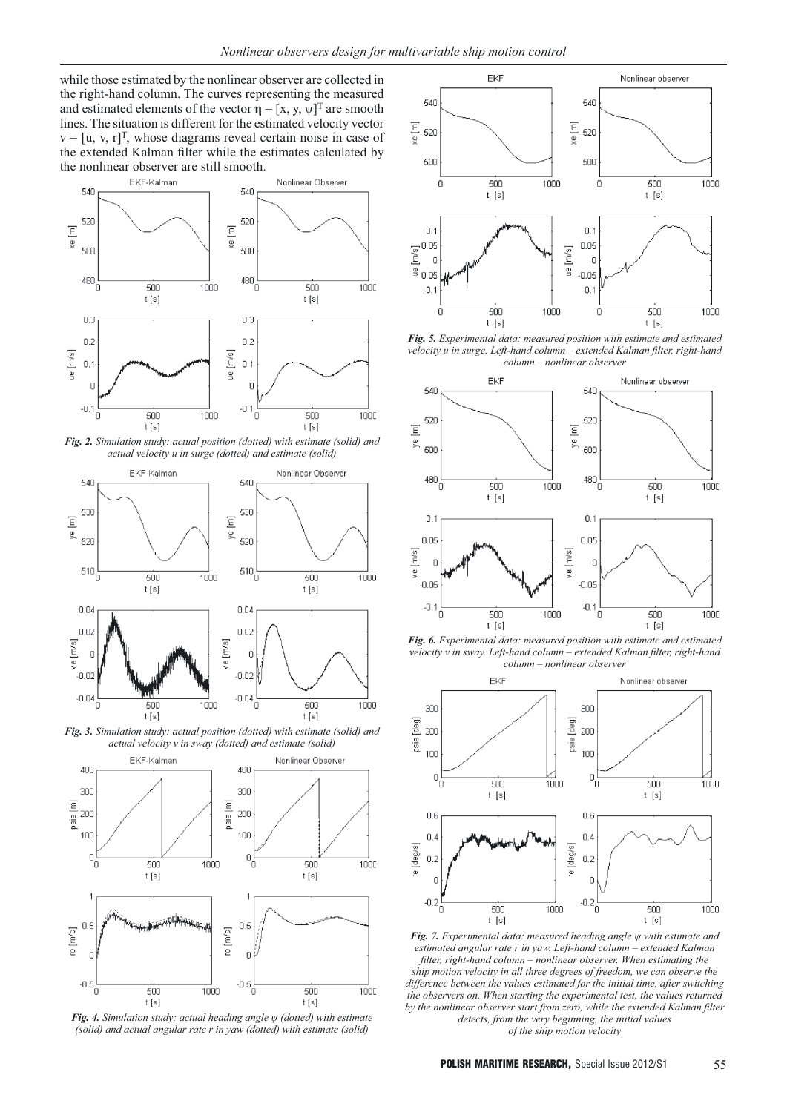while those estimated by the nonlinear observer are collected in the right-hand column. The curves representing the measured and estimated elements of the vector  $\mathbf{\eta} = [x, y, \psi]^T$  are smooth lines. The situation is different for the estimated velocity vector  $v = [u, v, r]^T$ , whose diagrams reveal certain noise in case of the extended Kalman filter while the estimates calculated by the nonlinear observer are still smooth.<br>EKF-Kalman



*Fig. 2. Simulation study: actual position (dotted) with estimate (solid) and actual velocity u in surge (dotted) and estimate (solid)*



*Fig. 3. Simulation study: actual position (dotted) with estimate (solid) and actual velocity v in sway (dotted) and estimate (solid)*



*Fig. 4. Simulation study: actual heading angle ψ (dotted) with estimate (solid) and actual angular rate r in yaw (dotted) with estimate (solid)*



*Fig. 5. Experimental data: measured position with estimate and estimated velocity u in surge. Left-hand column – extended Kalman filter, right-hand column – nonlinear observer*



*Fig. 6. Experimental data: measured position with estimate and estimated velocity v in sway. Left-hand column – extended Kalman filter, right-hand column – nonlinear observer*



*Fig. 7. Experimental data: measured heading angle ψ with estimate and estimated angular rate r in yaw. Left-hand column – extended Kalman filter, right-hand column – nonlinear observer. When estimating the ship motion velocity in all three degrees of freedom, we can observe the difference between the values estimated for the initial time, after switching the observers on. When starting the experimental test, the values returned by the nonlinear observer start from zero, while the extended Kalman filter detects, from the very beginning, the initial values of the ship motion velocity*